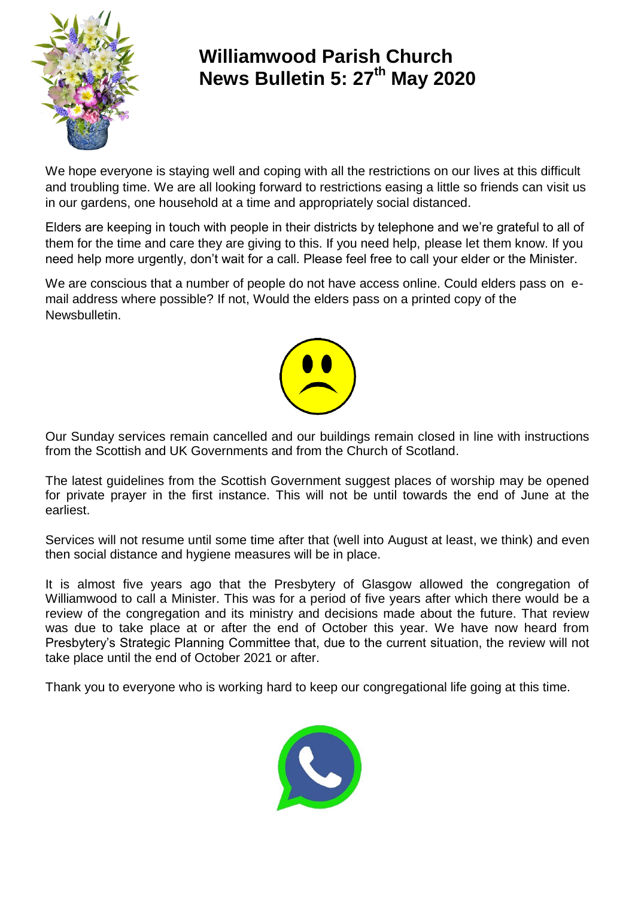

# **Williamwood Parish Church News Bulletin 5: 27th May 2020**

We hope everyone is staying well and coping with all the restrictions on our lives at this difficult and troubling time. We are all looking forward to restrictions easing a little so friends can visit us in our gardens, one household at a time and appropriately social distanced.

Elders are keeping in touch with people in their districts by telephone and we're grateful to all of them for the time and care they are giving to this. If you need help, please let them know. If you need help more urgently, don't wait for a call. Please feel free to call your elder or the Minister.

We are conscious that a number of people do not have access online. Could elders pass on email address where possible? If not, Would the elders pass on a printed copy of the Newsbulletin.



Our Sunday services remain cancelled and our buildings remain closed in line with instructions from the Scottish and UK Governments and from the Church of Scotland.

The latest guidelines from the Scottish Government suggest places of worship may be opened for private prayer in the first instance. This will not be until towards the end of June at the earliest.

Services will not resume until some time after that (well into August at least, we think) and even then social distance and hygiene measures will be in place.

It is almost five years ago that the Presbytery of Glasgow allowed the congregation of Williamwood to call a Minister. This was for a period of five years after which there would be a review of the congregation and its ministry and decisions made about the future. That review was due to take place at or after the end of October this year. We have now heard from Presbytery's Strategic Planning Committee that, due to the current situation, the review will not take place until the end of October 2021 or after.

Thank you to everyone who is working hard to keep our congregational life going at this time.

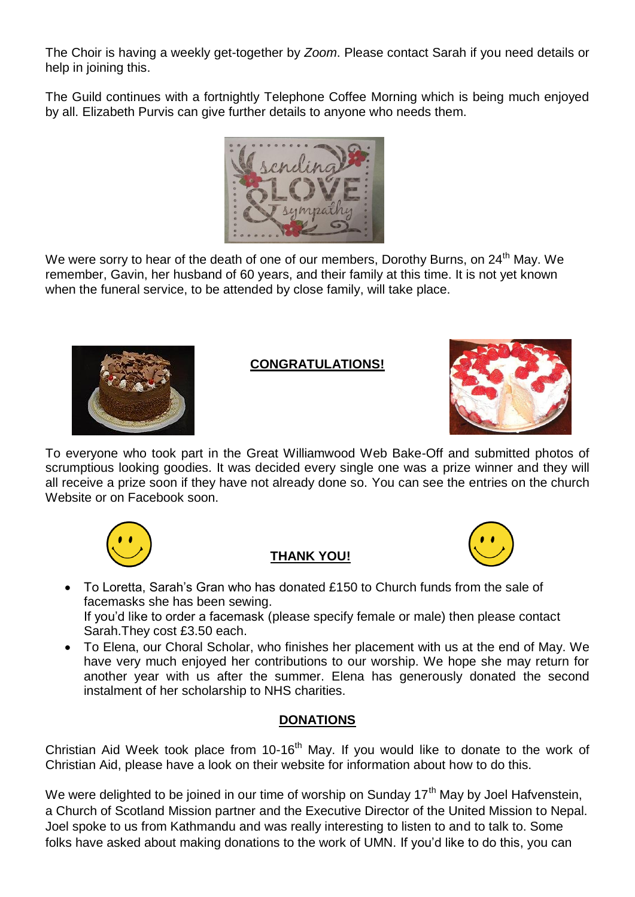The Choir is having a weekly get-together by *Zoom*. Please contact Sarah if you need details or help in joining this.

The Guild continues with a fortnightly Telephone Coffee Morning which is being much enjoyed by all. Elizabeth Purvis can give further details to anyone who needs them.



We were sorry to hear of the death of one of our members, Dorothy Burns, on 24<sup>th</sup> May. We remember, Gavin, her husband of 60 years, and their family at this time. It is not yet known when the funeral service, to be attended by close family, will take place.



## **CONGRATULATIONS!**



To everyone who took part in the Great Williamwood Web Bake-Off and submitted photos of scrumptious looking goodies. It was decided every single one was a prize winner and they will all receive a prize soon if they have not already done so. You can see the entries on the church Website or on Facebook soon.



## **THANK YOU!**



- To Loretta, Sarah's Gran who has donated £150 to Church funds from the sale of facemasks she has been sewing. If you'd like to order a facemask (please specify female or male) then please contact Sarah.They cost £3.50 each.
- To Elena, our Choral Scholar, who finishes her placement with us at the end of May. We have very much enjoyed her contributions to our worship. We hope she may return for another year with us after the summer. Elena has generously donated the second instalment of her scholarship to NHS charities.

### **DONATIONS**

Christian Aid Week took place from 10-16<sup>th</sup> May. If you would like to donate to the work of Christian Aid, please have a look on their website for information about how to do this.

We were delighted to be joined in our time of worship on Sunday 17<sup>th</sup> May by Joel Hafvenstein, a Church of Scotland Mission partner and the Executive Director of the United Mission to Nepal. Joel spoke to us from Kathmandu and was really interesting to listen to and to talk to. Some folks have asked about making donations to the work of UMN. If you'd like to do this, you can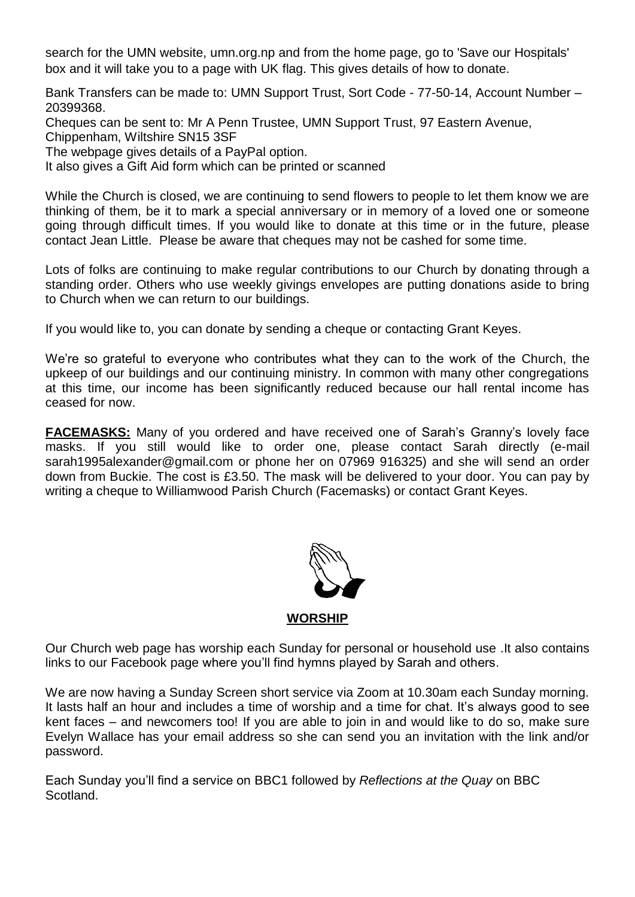search for the UMN website, umn.org.np and from the home page, go to 'Save our Hospitals' box and it will take you to a page with UK flag. This gives details of how to donate.

Bank Transfers can be made to: UMN Support Trust, Sort Code - 77-50-14, Account Number – 20399368.

Cheques can be sent to: Mr A Penn Trustee, UMN Support Trust, 97 Eastern Avenue,

Chippenham, Wiltshire SN15 3SF

The webpage gives details of a PayPal option.

It also gives a Gift Aid form which can be printed or scanned

While the Church is closed, we are continuing to send flowers to people to let them know we are thinking of them, be it to mark a special anniversary or in memory of a loved one or someone going through difficult times. If you would like to donate at this time or in the future, please contact Jean Little. Please be aware that cheques may not be cashed for some time.

Lots of folks are continuing to make regular contributions to our Church by donating through a standing order. Others who use weekly givings envelopes are putting donations aside to bring to Church when we can return to our buildings.

If you would like to, you can donate by sending a cheque or contacting Grant Keyes.

We're so grateful to everyone who contributes what they can to the work of the Church, the upkeep of our buildings and our continuing ministry. In common with many other congregations at this time, our income has been significantly reduced because our hall rental income has ceased for now.

**FACEMASKS:** Many of you ordered and have received one of Sarah's Granny's lovely face masks. If you still would like to order one, please contact Sarah directly (e-mail sarah1995alexander@gmail.com or phone her on 07969 916325) and she will send an order down from Buckie. The cost is £3.50. The mask will be delivered to your door. You can pay by writing a cheque to Williamwood Parish Church (Facemasks) or contact Grant Keyes.



**WORSHIP**

Our Church web page has worship each Sunday for personal or household use .It also contains links to our Facebook page where you'll find hymns played by Sarah and others.

We are now having a Sunday Screen short service via Zoom at 10.30am each Sunday morning. It lasts half an hour and includes a time of worship and a time for chat. It's always good to see kent faces – and newcomers too! If you are able to join in and would like to do so, make sure Evelyn Wallace has your email address so she can send you an invitation with the link and/or password.

Each Sunday you'll find a service on BBC1 followed by *Reflections at the Quay* on BBC Scotland.